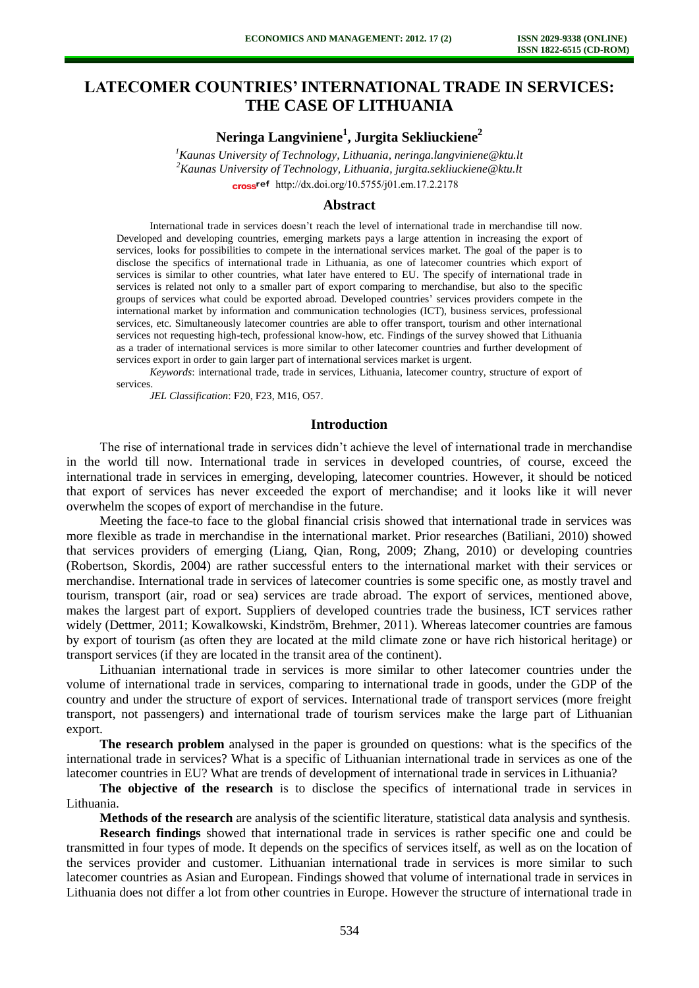# **LATECOMER COUNTRIES'INTERNATIONAL TRADE IN SERVICES: THE CASE OF LITHUANIA**

## **Neringa Langviniene<sup>1</sup> , Jurgita Sekliuckiene<sup>2</sup>**

*<sup>1</sup>Kaunas University of Technology, Lithuania, neringa.langviniene@ktu.lt <sup>2</sup>Kaunas University of Technology, Lithuania, jurgita.sekliuckiene@ktu.lt*  cross<sup>ref</sup> [http://dx.doi.org/10.5755/j01.e](http://dx.doi.org/10.5755/j01.em.17.2.2178)m.17.2.2178

#### **Abstract**

International trade in services doesn't reach the level of international trade in merchandise till now. Developed and developing countries, emerging markets pays a large attention in increasing the export of services, looks for possibilities to compete in the international services market. The goal of the paper is to disclose the specifics of international trade in Lithuania, as one of latecomer countries which export of services is similar to other countries, what later have entered to EU. The specify of international trade in services is related not only to a smaller part of export comparing to merchandise, but also to the specific groups of services what could be exported abroad. Developed countries' services providers compete in the international market by information and communication technologies (ICT), business services, professional services, etc. Simultaneously latecomer countries are able to offer transport, tourism and other international services not requesting high-tech, professional know-how, etc. Findings of the survey showed that Lithuania as a trader of international services is more similar to other latecomer countries and further development of services export in order to gain larger part of international services market is urgent.

*Keywords*: international trade, trade in services, Lithuania, latecomer country, structure of export of services.

*JEL Classification*: F20, F23, M16, O57.

#### **Introduction**

The rise of international trade in services didn't achieve the level of international trade in merchandise in the world till now. International trade in services in developed countries, of course, exceed the international trade in services in emerging, developing, latecomer countries. However, it should be noticed that export of services has never exceeded the export of merchandise; and it looks like it will never overwhelm the scopes of export of merchandise in the future.

Meeting the face-to face to the global financial crisis showed that international trade in services was more flexible as trade in merchandise in the international market. Prior researches (Batiliani, 2010) showed that services providers of emerging (Liang, Qian, Rong, 2009; Zhang, 2010) or developing countries (Robertson, Skordis, 2004) are rather successful enters to the international market with their services or merchandise. International trade in services of latecomer countries is some specific one, as mostly travel and tourism, transport (air, road or sea) services are trade abroad. The export of services, mentioned above, makes the largest part of export. Suppliers of developed countries trade the business, ICT services rather widely (Dettmer, 2011; Kowalkowski, Kindström, Brehmer, 2011). Whereas latecomer countries are famous by export of tourism (as often they are located at the mild climate zone or have rich historical heritage) or transport services (if they are located in the transit area of the continent).

Lithuanian international trade in services is more similar to other latecomer countries under the volume of international trade in services, comparing to international trade in goods, under the GDP of the country and under the structure of export of services. International trade of transport services (more freight transport, not passengers) and international trade of tourism services make the large part of Lithuanian export.

**The research problem** analysed in the paper is grounded on questions: what is the specifics of the international trade in services? What is a specific of Lithuanian international trade in services as one of the latecomer countries in EU? What are trends of development of international trade in services in Lithuania?

**The objective of the research** is to disclose the specifics of international trade in services in Lithuania.

**Methods of the research** are analysis of the scientific literature, statistical data analysis and synthesis.

**Research findings** showed that international trade in services is rather specific one and could be transmitted in four types of mode. It depends on the specifics of services itself, as well as on the location of the services provider and customer. Lithuanian international trade in services is more similar to such latecomer countries as Asian and European. Findings showed that volume of international trade in services in Lithuania does not differ a lot from other countries in Europe. However the structure of international trade in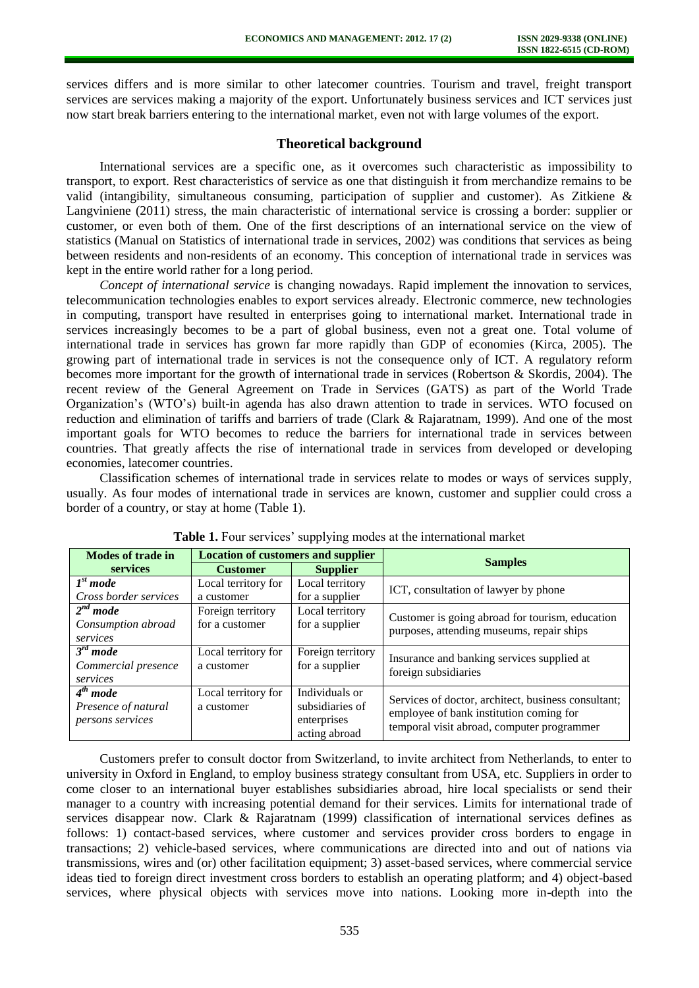services differs and is more similar to other latecomer countries. Tourism and travel, freight transport services are services making a majority of the export. Unfortunately business services and ICT services just now start break barriers entering to the international market, even not with large volumes of the export.

### **Theoretical background**

International services are a specific one, as it overcomes such characteristic as impossibility to transport, to export. Rest characteristics of service as one that distinguish it from merchandize remains to be valid (intangibility, simultaneous consuming, participation of supplier and customer). As Zitkiene & Langviniene (2011) stress, the main characteristic of international service is crossing a border: supplier or customer, or even both of them. One of the first descriptions of an international service on the view of statistics (Manual on Statistics of international trade in services, 2002) was conditions that services as being between residents and non-residents of an economy. This conception of international trade in services was kept in the entire world rather for a long period.

*Concept of international service* is changing nowadays. Rapid implement the innovation to services, telecommunication technologies enables to export services already. Electronic commerce, new technologies in computing, transport have resulted in enterprises going to international market. International trade in services increasingly becomes to be a part of global business, even not a great one. Total volume of international trade in services has grown far more rapidly than GDP of economies (Kirca, 2005). The growing part of international trade in services is not the consequence only of ICT. A regulatory reform becomes more important for the growth of international trade in services (Robertson & Skordis, 2004). The recent review of the General Agreement on Trade in Services (GATS) as part of the World Trade Organization's (WTO's) built-in agenda has also drawn attention to trade in services. WTO focused on reduction and elimination of tariffs and barriers of trade (Clark & Rajaratnam, 1999). And one of the most important goals for WTO becomes to reduce the barriers for international trade in services between countries. That greatly affects the rise of international trade in services from developed or developing economies, latecomer countries.

Classification schemes of international trade in services relate to modes or ways of services supply, usually. As four modes of international trade in services are known, customer and supplier could cross a border of a country, or stay at home (Table 1).

| <b>Modes of trade in</b>                                        | <b>Location of customers and supplier</b> |                                                                   |                                                                                                                                              |  |  |  |  |
|-----------------------------------------------------------------|-------------------------------------------|-------------------------------------------------------------------|----------------------------------------------------------------------------------------------------------------------------------------------|--|--|--|--|
| services                                                        | <b>Customer</b>                           | <b>Supplier</b>                                                   | <b>Samples</b>                                                                                                                               |  |  |  |  |
| I <sup>st</sup> mode                                            | Local territory for                       | Local territory                                                   | ICT, consultation of lawyer by phone                                                                                                         |  |  |  |  |
| Cross border services                                           | a customer                                | for a supplier                                                    |                                                                                                                                              |  |  |  |  |
| $\sqrt{2}$ <sup>nd</sup> mode<br>Consumption abroad<br>services | Foreign territory<br>for a customer       | Local territory<br>for a supplier                                 | Customer is going abroad for tourism, education<br>purposes, attending museums, repair ships                                                 |  |  |  |  |
| $\overline{3}^{rd}$ mode<br>Commercial presence<br>services     | Local territory for<br>a customer         | Foreign territory<br>for a supplier                               | Insurance and banking services supplied at<br>foreign subsidiaries                                                                           |  |  |  |  |
| $4th$ mode<br>Presence of natural<br><i>persons services</i>    | Local territory for<br>a customer         | Individuals or<br>subsidiaries of<br>enterprises<br>acting abroad | Services of doctor, architect, business consultant;<br>employee of bank institution coming for<br>temporal visit abroad, computer programmer |  |  |  |  |

| <b>Table 1.</b> Four services' supplying modes at the international market |  |  |  |
|----------------------------------------------------------------------------|--|--|--|
|----------------------------------------------------------------------------|--|--|--|

Customers prefer to consult doctor from Switzerland, to invite architect from Netherlands, to enter to university in Oxford in England, to employ business strategy consultant from USA, etc. Suppliers in order to come closer to an international buyer establishes subsidiaries abroad, hire local specialists or send their manager to a country with increasing potential demand for their services. Limits for international trade of services disappear now. Clark & Rajaratnam (1999) classification of international services defines as follows: 1) contact-based services, where customer and services provider cross borders to engage in transactions; 2) vehicle-based services, where communications are directed into and out of nations via transmissions, wires and (or) other facilitation equipment; 3) asset-based services, where commercial service ideas tied to foreign direct investment cross borders to establish an operating platform; and 4) object-based services, where physical objects with services move into nations. Looking more in-depth into the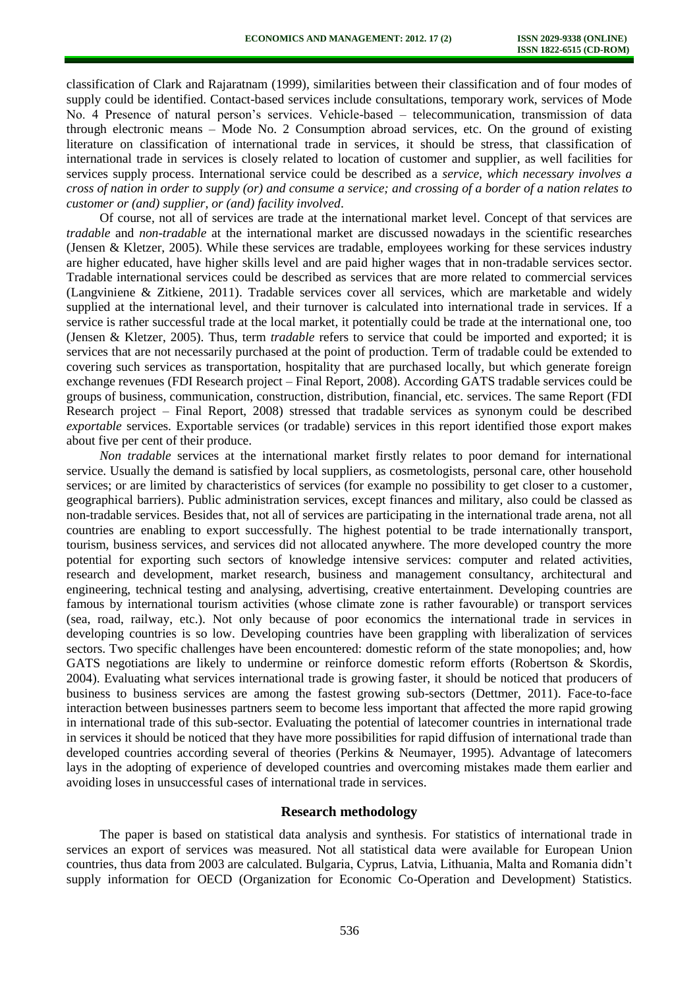classification of Clark and Rajaratnam (1999), similarities between their classification and of four modes of supply could be identified. Contact-based services include consultations, temporary work, services of Mode No. 4 Presence of natural person's services. Vehicle-based – telecommunication, transmission of data through electronic means – Mode No. 2 Consumption abroad services, etc. On the ground of existing literature on classification of international trade in services, it should be stress, that classification of international trade in services is closely related to location of customer and supplier, as well facilities for services supply process. International service could be described as a *service, which necessary involves a cross of nation in order to supply (or) and consume a service; and crossing of a border of a nation relates to customer or (and) supplier, or (and) facility involved*.

Of course, not all of services are trade at the international market level. Concept of that services are *tradable* and *non-tradable* at the international market are discussed nowadays in the scientific researches (Jensen & Kletzer, 2005). While these services are tradable, employees working for these services industry are higher educated, have higher skills level and are paid higher wages that in non-tradable services sector. Tradable international services could be described as services that are more related to commercial services (Langviniene & Zitkiene, 2011). Tradable services cover all services, which are marketable and widely supplied at the international level, and their turnover is calculated into international trade in services. If a service is rather successful trade at the local market, it potentially could be trade at the international one, too (Jensen & Kletzer, 2005). Thus, term *tradable* refers to service that could be imported and exported; it is services that are not necessarily purchased at the point of production. Term of tradable could be extended to covering such services as transportation, hospitality that are purchased locally, but which generate foreign exchange revenues (FDI Research project – Final Report, 2008). According GATS tradable services could be groups of business, communication, construction, distribution, financial, etc. services. The same Report (FDI Research project – Final Report, 2008) stressed that tradable services as synonym could be described *exportable* services. Exportable services (or tradable) services in this report identified those export makes about five per cent of their produce.

*Non tradable* services at the international market firstly relates to poor demand for international service. Usually the demand is satisfied by local suppliers, as cosmetologists, personal care, other household services; or are limited by characteristics of services (for example no possibility to get closer to a customer, geographical barriers). Public administration services, except finances and military, also could be classed as non-tradable services. Besides that, not all of services are participating in the international trade arena, not all countries are enabling to export successfully. The highest potential to be trade internationally transport, tourism, business services, and services did not allocated anywhere. The more developed country the more potential for exporting such sectors of knowledge intensive services: computer and related activities, research and development, market research, business and management consultancy, architectural and engineering, technical testing and analysing, advertising, creative entertainment. Developing countries are famous by international tourism activities (whose climate zone is rather favourable) or transport services (sea, road, railway, etc.). Not only because of poor economics the international trade in services in developing countries is so low. Developing countries have been grappling with liberalization of services sectors. Two specific challenges have been encountered: domestic reform of the state monopolies; and, how GATS negotiations are likely to undermine or reinforce domestic reform efforts (Robertson & Skordis, 2004). Evaluating what services international trade is growing faster, it should be noticed that producers of business to business services are among the fastest growing sub-sectors (Dettmer, 2011). Face-to-face interaction between businesses partners seem to become less important that affected the more rapid growing in international trade of this sub-sector. Evaluating the potential of latecomer countries in international trade in services it should be noticed that they have more possibilities for rapid diffusion of international trade than developed countries according several of theories (Perkins & Neumayer, 1995). Advantage of latecomers lays in the adopting of experience of developed countries and overcoming mistakes made them earlier and avoiding loses in unsuccessful cases of international trade in services.

### **Research methodology**

The paper is based on statistical data analysis and synthesis. For statistics of international trade in services an export of services was measured. Not all statistical data were available for European Union countries, thus data from 2003 are calculated. Bulgaria, Cyprus, Latvia, Lithuania, Malta and Romania didn't supply information for OECD (Organization for Economic Co-Operation and Development) Statistics.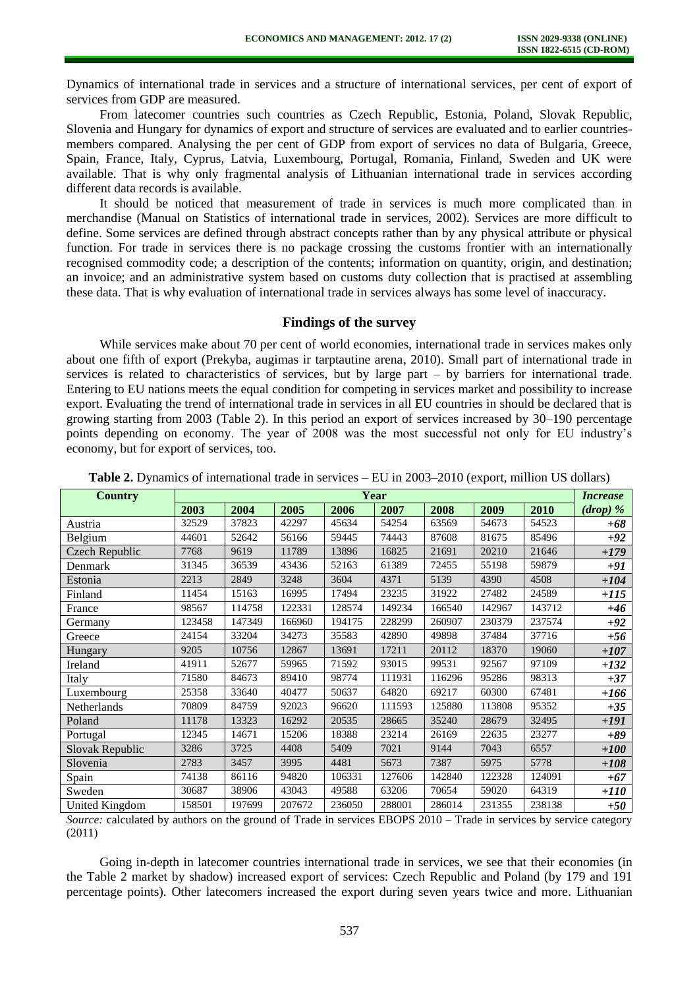Dynamics of international trade in services and a structure of international services, per cent of export of services from GDP are measured.

From latecomer countries such countries as Czech Republic, Estonia, Poland, Slovak Republic, Slovenia and Hungary for dynamics of export and structure of services are evaluated and to earlier countriesmembers compared. Analysing the per cent of GDP from export of services no data of Bulgaria, Greece, Spain, France, Italy, Cyprus, Latvia, Luxembourg, Portugal, Romania, Finland, Sweden and UK were available. That is why only fragmental analysis of Lithuanian international trade in services according different data records is available.

It should be noticed that measurement of trade in services is much more complicated than in merchandise (Manual on Statistics of international trade in services, 2002). Services are more difficult to define. Some services are defined through abstract concepts rather than by any physical attribute or physical function. For trade in services there is no package crossing the customs frontier with an internationally recognised commodity code; a description of the contents; information on quantity, origin, and destination; an invoice; and an administrative system based on customs duty collection that is practised at assembling these data. That is why evaluation of international trade in services always has some level of inaccuracy.

### **Findings of the survey**

While services make about 70 per cent of world economies, international trade in services makes only about one fifth of export (Prekyba, augimas ir tarptautine arena, 2010). Small part of international trade in services is related to characteristics of services, but by large part – by barriers for international trade. Entering to EU nations meets the equal condition for competing in services market and possibility to increase export. Evaluating the trend of international trade in services in all EU countries in should be declared that is growing starting from 2003 (Table 2). In this period an export of services increased by 30–190 percentage points depending on economy. The year of 2008 was the most successful not only for EU industry's economy, but for export of services, too.

| <b>Country</b>  | Year   |        |        |        |        |        |        |        |            |
|-----------------|--------|--------|--------|--------|--------|--------|--------|--------|------------|
|                 | 2003   | 2004   | 2005   | 2006   | 2007   | 2008   | 2009   | 2010   | $(drop)$ % |
| Austria         | 32529  | 37823  | 42297  | 45634  | 54254  | 63569  | 54673  | 54523  | $+68$      |
| Belgium         | 44601  | 52642  | 56166  | 59445  | 74443  | 87608  | 81675  | 85496  | $+92$      |
| Czech Republic  | 7768   | 9619   | 11789  | 13896  | 16825  | 21691  | 20210  | 21646  | $+179$     |
| Denmark         | 31345  | 36539  | 43436  | 52163  | 61389  | 72455  | 55198  | 59879  | +91        |
| Estonia         | 2213   | 2849   | 3248   | 3604   | 4371   | 5139   | 4390   | 4508   | $+104$     |
| Finland         | 11454  | 15163  | 16995  | 17494  | 23235  | 31922  | 27482  | 24589  | $+115$     |
| France          | 98567  | 114758 | 122331 | 128574 | 149234 | 166540 | 142967 | 143712 | $+46$      |
| Germany         | 123458 | 147349 | 166960 | 194175 | 228299 | 260907 | 230379 | 237574 | $+92$      |
| Greece          | 24154  | 33204  | 34273  | 35583  | 42890  | 49898  | 37484  | 37716  | $+56$      |
| Hungary         | 9205   | 10756  | 12867  | 13691  | 17211  | 20112  | 18370  | 19060  | $+107$     |
| Ireland         | 41911  | 52677  | 59965  | 71592  | 93015  | 99531  | 92567  | 97109  | $+132$     |
| Italy           | 71580  | 84673  | 89410  | 98774  | 111931 | 116296 | 95286  | 98313  | $+37$      |
| Luxembourg      | 25358  | 33640  | 40477  | 50637  | 64820  | 69217  | 60300  | 67481  | +166       |
| Netherlands     | 70809  | 84759  | 92023  | 96620  | 111593 | 125880 | 113808 | 95352  | $+35$      |
| Poland          | 11178  | 13323  | 16292  | 20535  | 28665  | 35240  | 28679  | 32495  | $+191$     |
| Portugal        | 12345  | 14671  | 15206  | 18388  | 23214  | 26169  | 22635  | 23277  | $+89$      |
| Slovak Republic | 3286   | 3725   | 4408   | 5409   | 7021   | 9144   | 7043   | 6557   | $+100$     |
| Slovenia        | 2783   | 3457   | 3995   | 4481   | 5673   | 7387   | 5975   | 5778   | $+108$     |
| Spain           | 74138  | 86116  | 94820  | 106331 | 127606 | 142840 | 122328 | 124091 | $+67$      |
| Sweden          | 30687  | 38906  | 43043  | 49588  | 63206  | 70654  | 59020  | 64319  | $+110$     |
| United Kingdom  | 158501 | 197699 | 207672 | 236050 | 288001 | 286014 | 231355 | 238138 | $+50$      |

**Table 2.** Dynamics of international trade in services – EU in 2003–2010 (export, million US dollars)

*Source:* calculated by authors on the ground of Trade in services EBOPS 2010 – Trade in services by service category (2011)

Going in-depth in latecomer countries international trade in services, we see that their economies (in the Table 2 market by shadow) increased export of services: Czech Republic and Poland (by 179 and 191 percentage points). Other latecomers increased the export during seven years twice and more. Lithuanian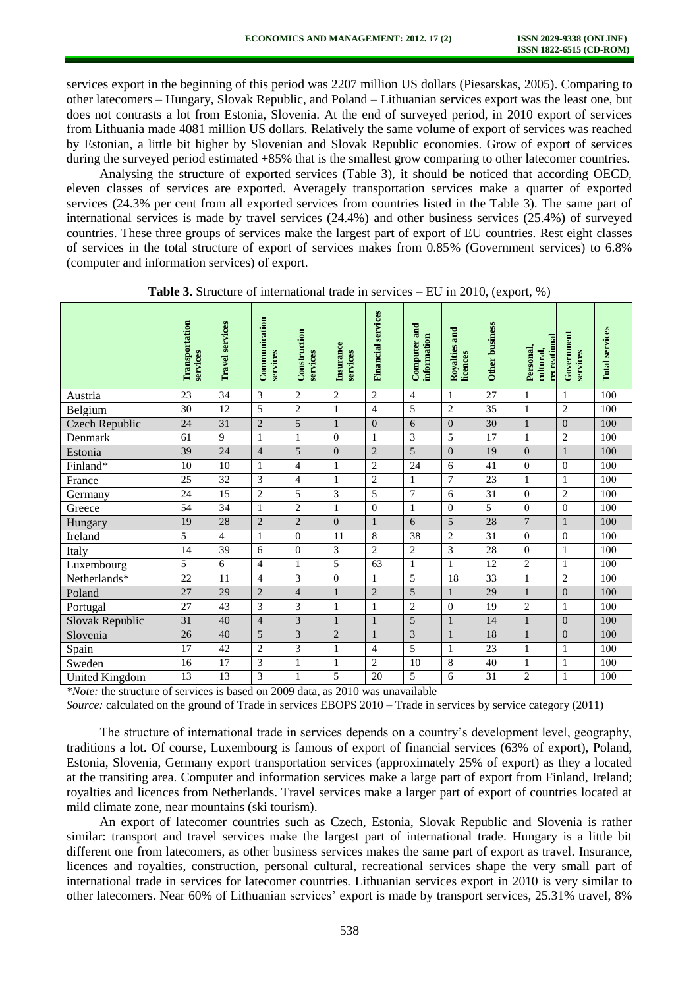services export in the beginning of this period was 2207 million US dollars (Piesarskas, 2005). Comparing to other latecomers – Hungary, Slovak Republic, and Poland – Lithuanian services export was the least one, but does not contrasts a lot from Estonia, Slovenia. At the end of surveyed period, in 2010 export of services from Lithuania made 4081 million US dollars. Relatively the same volume of export of services was reached by Estonian, a little bit higher by Slovenian and Slovak Republic economies. Grow of export of services during the surveyed period estimated +85% that is the smallest grow comparing to other latecomer countries.

Analysing the structure of exported services (Table 3), it should be noticed that according OECD, eleven classes of services are exported. Averagely transportation services make a quarter of exported services (24.3% per cent from all exported services from countries listed in the Table 3). The same part of international services is made by travel services (24.4%) and other business services (25.4%) of surveyed countries. These three groups of services make the largest part of export of EU countries. Rest eight classes of services in the total structure of export of services makes from 0.85% (Government services) to 6.8% (computer and information services) of export.

|                 | Transportation<br>services | <b>Travel services</b> | Communication<br>services | Construction<br>services | Insurance<br>services | <b>Financial services</b> | Computer and<br>information | Royalties and<br>licences | <b>Other business</b> | recreational<br>Personal,<br>cultural, | Government<br>services | <b>Total services</b> |
|-----------------|----------------------------|------------------------|---------------------------|--------------------------|-----------------------|---------------------------|-----------------------------|---------------------------|-----------------------|----------------------------------------|------------------------|-----------------------|
| Austria         | 23                         | 34                     | 3                         | 2                        | 2                     | $\overline{c}$            | 4                           | 1                         | 27                    | 1                                      | 1                      | 100                   |
| Belgium         | 30                         | 12                     | 5                         | $\overline{2}$           | $\mathbf{1}$          | $\overline{4}$            | 5                           | $\overline{c}$            | 35                    | 1                                      | $\overline{c}$         | 100                   |
| Czech Republic  | 24                         | 31                     | $\overline{2}$            | 5                        | $\mathbf{1}$          | $\overline{0}$            | 6                           | $\overline{0}$            | 30                    | 1                                      | $\overline{0}$         | 100                   |
| Denmark         | 61                         | 9                      | $\mathbf{1}$              | $\mathbf{1}$             | $\overline{0}$        | $\mathbf{1}$              | $\overline{3}$              | 5                         | 17                    | $\mathbf{1}$                           | $\overline{2}$         | 100                   |
| Estonia         | 39                         | 24                     | $\overline{4}$            | 5                        | $\overline{0}$        | $\overline{2}$            | 5                           | $\Omega$                  | 19                    | $\Omega$                               |                        | 100                   |
| Finland*        | 10                         | 10                     | 1                         | $\overline{4}$           | 1                     | $\overline{2}$            | 24                          | 6                         | 41                    | $\Omega$                               | $\overline{0}$         | 100                   |
| France          | 25                         | 32                     | 3                         | $\overline{4}$           | $\mathbf{1}$          | $\overline{2}$            | 1                           | $\overline{7}$            | 23                    | 1                                      | 1                      | 100                   |
| Germany         | 24                         | 15                     | 2                         | 5                        | 3                     | 5                         | 7                           | 6                         | 31                    | $\Omega$                               | $\overline{c}$         | 100                   |
| Greece          | 54                         | 34                     | $\mathbf{1}$              | $\overline{2}$           | $\mathbf{1}$          | $\Omega$                  | 1                           | $\Omega$                  | 5                     | $\Omega$                               | $\mathbf{0}$           | 100                   |
| Hungary         | 19                         | 28                     | $\overline{2}$            | $\overline{2}$           | $\overline{0}$        | $\mathbf{1}$              | 6                           | 5                         | 28                    | $\overline{7}$                         |                        | 100                   |
| Ireland         | 5                          | 4                      | $\mathbf{1}$              | $\Omega$                 | 11                    | 8                         | 38                          | $\overline{2}$            | 31                    | $\theta$                               | $\overline{0}$         | 100                   |
| Italy           | 14                         | 39                     | 6                         | $\theta$                 | 3                     | $\overline{2}$            | $\overline{c}$              | 3                         | 28                    | $\overline{0}$                         | 1                      | 100                   |
| Luxembourg      | 5                          | 6                      | $\overline{4}$            | 1                        | 5                     | 63                        | 1                           | 1                         | 12                    | $\overline{2}$                         | 1                      | 100                   |
| Netherlands*    | 22                         | 11                     | $\overline{4}$            | 3                        | $\boldsymbol{0}$      | 1                         | 5                           | 18                        | 33                    | 1                                      | $\overline{c}$         | 100                   |
| Poland          | 27                         | 29                     | $\overline{2}$            | $\overline{4}$           | $\mathbf{1}$          | $\overline{2}$            | 5                           | $\mathbf{1}$              | 29                    | $\mathbf{1}$                           | $\overline{0}$         | 100                   |
| Portugal        | 27                         | 43                     | 3                         | 3                        | $\mathbf{1}$          | 1                         | $\mathbf{2}$                | $\theta$                  | 19                    | $\overline{2}$                         | 1                      | 100                   |
| Slovak Republic | 31                         | 40                     | $\overline{4}$            | 3                        | 1                     | 1                         | 5                           | 1                         | 14                    |                                        | $\overline{0}$         | 100                   |
| Slovenia        | 26                         | 40                     | 5                         | 3                        | $\overline{2}$        | $\mathbf{1}$              | 3                           | 1                         | 18                    |                                        | $\overline{0}$         | 100                   |
| Spain           | 17                         | 42                     | $\overline{c}$            | 3                        | $\mathbf{1}$          | $\overline{4}$            | 5                           | 1                         | 23                    | 1                                      | 1                      | 100                   |
| Sweden          | 16                         | 17                     | 3                         | 1                        | $\mathbf{1}$          | $\overline{2}$            | 10                          | 8                         | 40                    | 1                                      | 1                      | 100                   |
| United Kingdom  | 13                         | 13                     | 3                         |                          | 5                     | 20                        | 5                           | 6                         | 31                    | $\overline{2}$                         | 1                      | 100                   |

**Table 3.** Structure of international trade in services – EU in 2010, (export, %)

*\*Note:* the structure of services is based on 2009 data, as 2010 was unavailable

*Source:* calculated on the ground of Trade in services EBOPS 2010 – Trade in services by service category (2011)

The structure of international trade in services depends on a country's development level, geography, traditions a lot. Of course, Luxembourg is famous of export of financial services (63% of export), Poland, Estonia, Slovenia, Germany export transportation services (approximately 25% of export) as they a located at the transiting area. Computer and information services make a large part of export from Finland, Ireland; royalties and licences from Netherlands. Travel services make a larger part of export of countries located at mild climate zone, near mountains (ski tourism).

An export of latecomer countries such as Czech, Estonia, Slovak Republic and Slovenia is rather similar: transport and travel services make the largest part of international trade. Hungary is a little bit different one from latecomers, as other business services makes the same part of export as travel. Insurance, licences and royalties, construction, personal cultural, recreational services shape the very small part of international trade in services for latecomer countries. Lithuanian services export in 2010 is very similar to other latecomers. Near 60% of Lithuanian services' export is made by transport services, 25.31% travel, 8%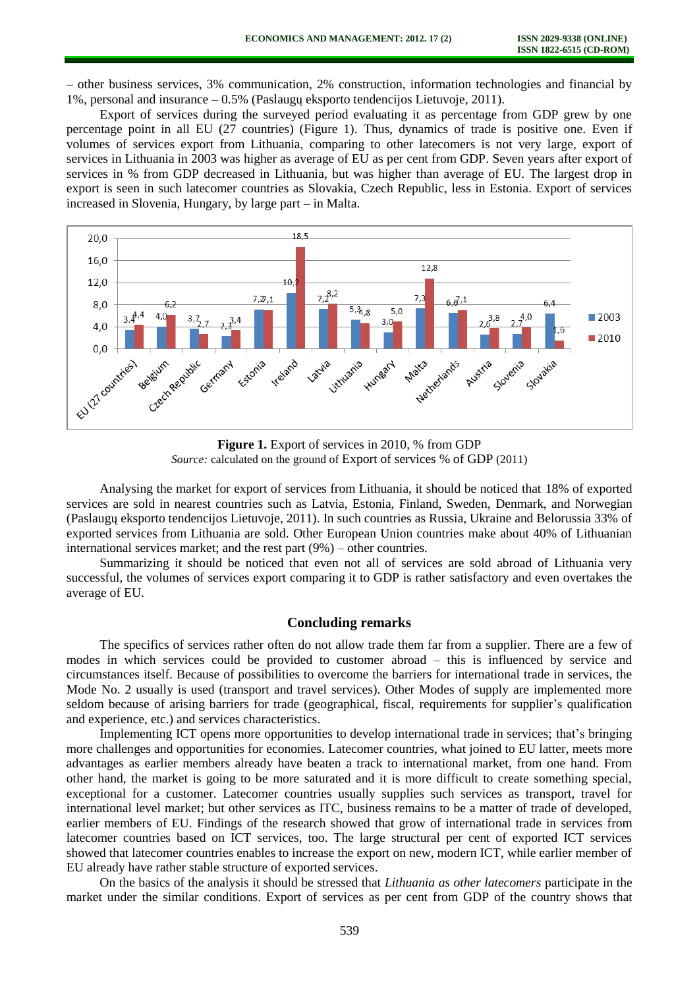– other business services, 3% communication, 2% construction, information technologies and financial by 1%, personal and insurance – 0.5% (Paslaugų eksporto tendencijos Lietuvoje, 2011).

Export of services during the surveyed period evaluating it as percentage from GDP grew by one percentage point in all EU (27 countries) (Figure 1). Thus, dynamics of trade is positive one. Even if volumes of services export from Lithuania, comparing to other latecomers is not very large, export of services in Lithuania in 2003 was higher as average of EU as per cent from GDP. Seven years after export of services in % from GDP decreased in Lithuania, but was higher than average of EU. The largest drop in export is seen in such latecomer countries as Slovakia, Czech Republic, less in Estonia. Export of services increased in Slovenia, Hungary, by large part – in Malta.



**Figure 1.** Export of services in 2010, % from GDP *Source:* calculated on the ground of Export of services % of GDP (2011)

Analysing the market for export of services from Lithuania, it should be noticed that 18% of exported services are sold in nearest countries such as Latvia, Estonia, Finland, Sweden, Denmark, and Norwegian (Paslaugų eksporto tendencijos Lietuvoje, 2011). In such countries as Russia, Ukraine and Belorussia 33% of exported services from Lithuania are sold. Other European Union countries make about 40% of Lithuanian international services market; and the rest part (9%) – other countries.

Summarizing it should be noticed that even not all of services are sold abroad of Lithuania very successful, the volumes of services export comparing it to GDP is rather satisfactory and even overtakes the average of EU.

### **Concluding remarks**

The specifics of services rather often do not allow trade them far from a supplier. There are a few of modes in which services could be provided to customer abroad – this is influenced by service and circumstances itself. Because of possibilities to overcome the barriers for international trade in services, the Mode No. 2 usually is used (transport and travel services). Other Modes of supply are implemented more seldom because of arising barriers for trade (geographical, fiscal, requirements for supplier's qualification and experience, etc.) and services characteristics.

Implementing ICT opens more opportunities to develop international trade in services; that's bringing more challenges and opportunities for economies. Latecomer countries, what joined to EU latter, meets more advantages as earlier members already have beaten a track to international market, from one hand. From other hand, the market is going to be more saturated and it is more difficult to create something special, exceptional for a customer. Latecomer countries usually supplies such services as transport, travel for international level market; but other services as ITC, business remains to be a matter of trade of developed, earlier members of EU. Findings of the research showed that grow of international trade in services from latecomer countries based on ICT services, too. The large structural per cent of exported ICT services showed that latecomer countries enables to increase the export on new, modern ICT, while earlier member of EU already have rather stable structure of exported services.

On the basics of the analysis it should be stressed that *Lithuania as other latecomers* participate in the market under the similar conditions. Export of services as per cent from GDP of the country shows that